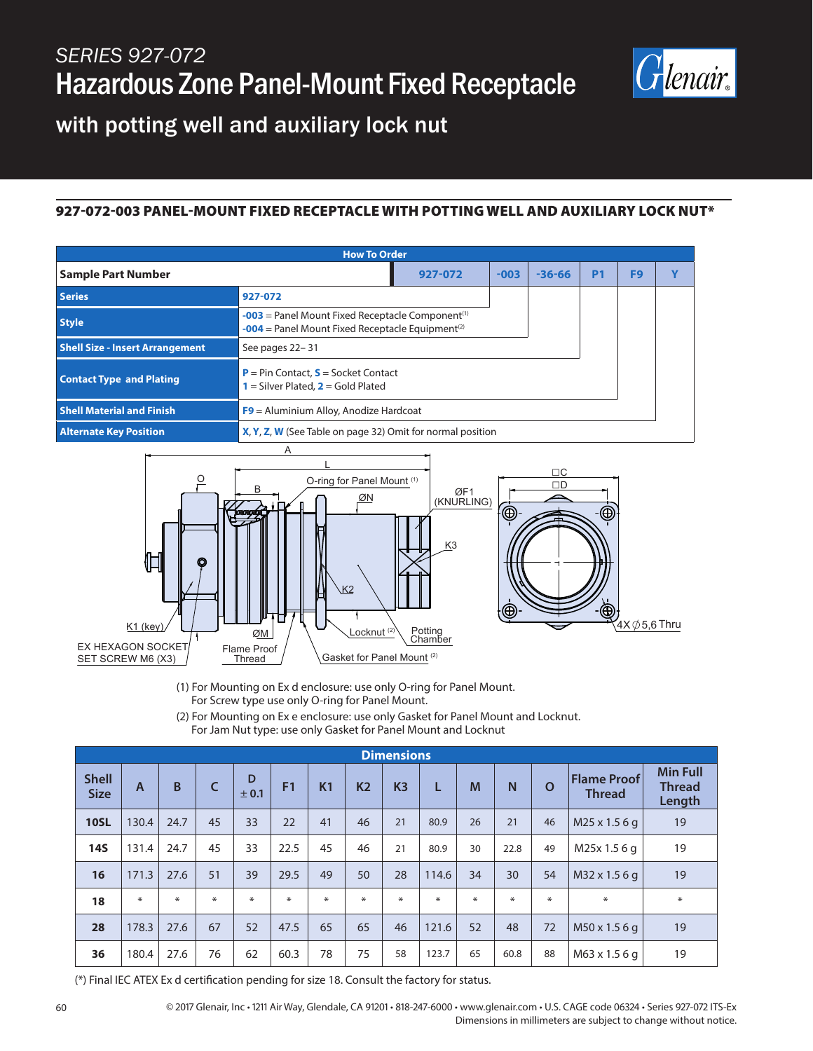

with potting well and auxiliary lock nut

## 927-072-003 PANEL-MOUNT FIXED RECEPTACLE WITH POTTING WELL AND AUXILIARY LOCK NUT\*

| <b>How To Order</b>                    |                                                                                                                                  |         |        |            |                |                |  |  |  |
|----------------------------------------|----------------------------------------------------------------------------------------------------------------------------------|---------|--------|------------|----------------|----------------|--|--|--|
| <b>Sample Part Number</b>              |                                                                                                                                  | 927-072 | $-003$ | $-36 - 66$ | P <sub>1</sub> | F <sub>9</sub> |  |  |  |
| <b>Series</b>                          | 927-072                                                                                                                          |         |        |            |                |                |  |  |  |
| <b>Style</b>                           | $-003$ = Panel Mount Fixed Receptacle Component <sup>(1)</sup><br>$-004$ = Panel Mount Fixed Receptacle Equipment <sup>(2)</sup> |         |        |            |                |                |  |  |  |
| <b>Shell Size - Insert Arrangement</b> | See pages 22-31                                                                                                                  |         |        |            |                |                |  |  |  |
| <b>Contact Type and Plating</b>        | $P = Pin Contact, S = Socket Contact$<br>$1 =$ Silver Plated, $2 =$ Gold Plated                                                  |         |        |            |                |                |  |  |  |
| <b>Shell Material and Finish</b>       | $F9$ = Aluminium Alloy, Anodize Hardcoat                                                                                         |         |        |            |                |                |  |  |  |
| <b>Alternate Key Position</b>          | X, Y, Z, W (See Table on page 32) Omit for normal position                                                                       |         |        |            |                |                |  |  |  |
| $\mathbf{A}$                           |                                                                                                                                  |         |        |            |                |                |  |  |  |



(1) For Mounting on Ex d enclosure: use only O-ring for Panel Mount.

- For Screw type use only O-ring for Panel Mount.
- (2) For Mounting on Ex e enclosure: use only Gasket for Panel Mount and Locknut.

For Jam Nut type: use only Gasket for Panel Mount and Locknut

| <b>Dimensions</b>           |                |        |    |            |                |                |           |                |       |        |        |          |                                     |                                            |
|-----------------------------|----------------|--------|----|------------|----------------|----------------|-----------|----------------|-------|--------|--------|----------|-------------------------------------|--------------------------------------------|
| <b>Shell</b><br><b>Size</b> | $\overline{A}$ | B      | C  | D<br>± 0.1 | F <sub>1</sub> | K <sub>1</sub> | <b>K2</b> | K <sub>3</sub> | L     | M      | N      | $\Omega$ | <b>Flame Proof</b><br><b>Thread</b> | <b>Min Full</b><br><b>Thread</b><br>Length |
| <b>10SL</b>                 | 130.4          | 24.7   | 45 | 33         | 22             | 41             | 46        | 21             | 80.9  | 26     | 21     | 46       | M25 x 1.5 6 g                       | 19                                         |
| <b>14S</b>                  | 131.4          | 24.7   | 45 | 33         | 22.5           | 45             | 46        | 21             | 80.9  | 30     | 22.8   | 49       | M25x 1.5 6 g                        | 19                                         |
| 16                          | 171.3          | 27.6   | 51 | 39         | 29.5           | 49             | 50        | 28             | 114.6 | 34     | 30     | 54       | M32 x 1.5 6 g                       | 19                                         |
| 18                          | $\ast$         | $\ast$ | ∗  | $\ast$     | ∗              | ∗              | $\ast$    | ∗              | ∗     | $\ast$ | $\ast$ | *        | ∗                                   | $\ast$                                     |
| 28                          | 178.3          | 27.6   | 67 | 52         | 47.5           | 65             | 65        | 46             | 121.6 | 52     | 48     | 72       | M50 x 1.5 6 g                       | 19                                         |
| 36                          | 180.4          | 27.6   | 76 | 62         | 60.3           | 78             | 75        | 58             | 123.7 | 65     | 60.8   | 88       | M63 x 1.5 6 g                       | 19                                         |

(\*) Final IEC ATEX Ex d certification pending for size 18. Consult the factory for status.